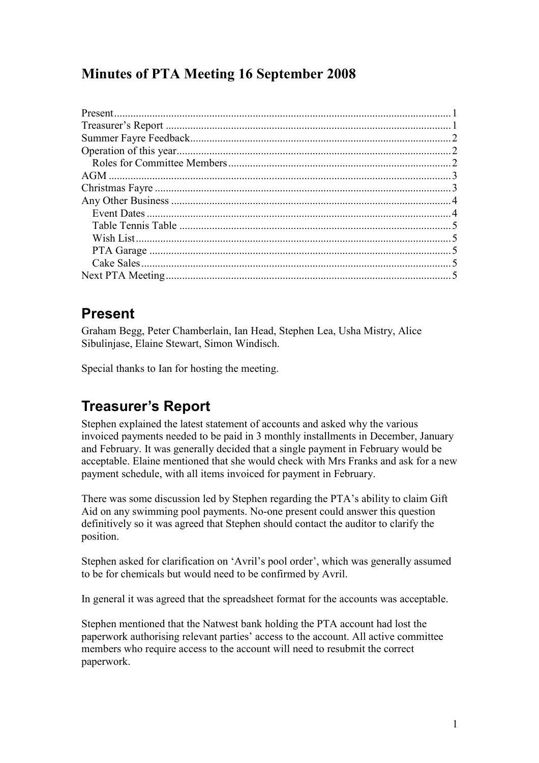## Minutes of PTA Meeting 16 September 2008

## Present

Graham Begg, Peter Chamberlain, Ian Head, Stephen Lea, Usha Mistry, Alice Sibulinjase, Elaine Stewart, Simon Windisch.

Special thanks to Ian for hosting the meeting.

## Treasurer's Report

Stephen explained the latest statement of accounts and asked why the various invoiced payments needed to be paid in 3 monthly installments in December, January and February. It was generally decided that a single payment in February would be acceptable. Elaine mentioned that she would check with Mrs Franks and ask for a new payment schedule, with all items invoiced for payment in February.

There was some discussion led by Stephen regarding the PTA's ability to claim Gift Aid on any swimming pool payments. No-one present could answer this question definitively so it was agreed that Stephen should contact the auditor to clarify the position.

Stephen asked for clarification on 'Avril's pool order', which was generally assumed to be for chemicals but would need to be confirmed by Avril.

In general it was agreed that the spreadsheet format for the accounts was acceptable.

Stephen mentioned that the Natwest bank holding the PTA account had lost the paperwork authorising relevant parties' access to the account. All active committee members who require access to the account will need to resubmit the correct paperwork.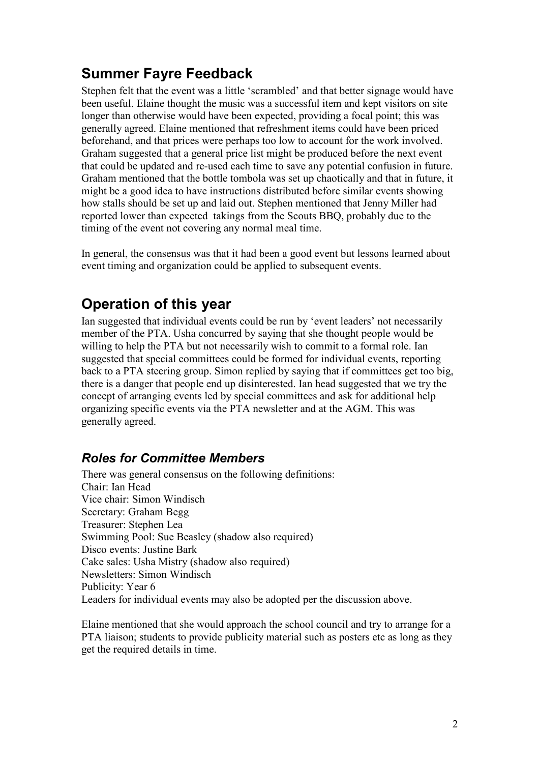## Summer Fayre Feedback

Stephen felt that the event was a little 'scrambled' and that better signage would have been useful. Elaine thought the music was a successful item and kept visitors on site longer than otherwise would have been expected, providing a focal point; this was generally agreed. Elaine mentioned that refreshment items could have been priced beforehand, and that prices were perhaps too low to account for the work involved. Graham suggested that a general price list might be produced before the next event that could be updated and re-used each time to save any potential confusion in future. Graham mentioned that the bottle tombola was set up chaotically and that in future, it might be a good idea to have instructions distributed before similar events showing how stalls should be set up and laid out. Stephen mentioned that Jenny Miller had reported lower than expected takings from the Scouts BBQ, probably due to the timing of the event not covering any normal meal time.

In general, the consensus was that it had been a good event but lessons learned about event timing and organization could be applied to subsequent events.

## Operation of this year

Ian suggested that individual events could be run by 'event leaders' not necessarily member of the PTA. Usha concurred by saying that she thought people would be willing to help the PTA but not necessarily wish to commit to a formal role. Ian suggested that special committees could be formed for individual events, reporting back to a PTA steering group. Simon replied by saying that if committees get too big, there is a danger that people end up disinterested. Ian head suggested that we try the concept of arranging events led by special committees and ask for additional help organizing specific events via the PTA newsletter and at the AGM. This was generally agreed.

### Roles for Committee Members

There was general consensus on the following definitions: Chair: Ian Head Vice chair: Simon Windisch Secretary: Graham Begg Treasurer: Stephen Lea Swimming Pool: Sue Beasley (shadow also required) Disco events: Justine Bark Cake sales: Usha Mistry (shadow also required) Newsletters: Simon Windisch Publicity: Year 6 Leaders for individual events may also be adopted per the discussion above.

Elaine mentioned that she would approach the school council and try to arrange for a PTA liaison; students to provide publicity material such as posters etc as long as they get the required details in time.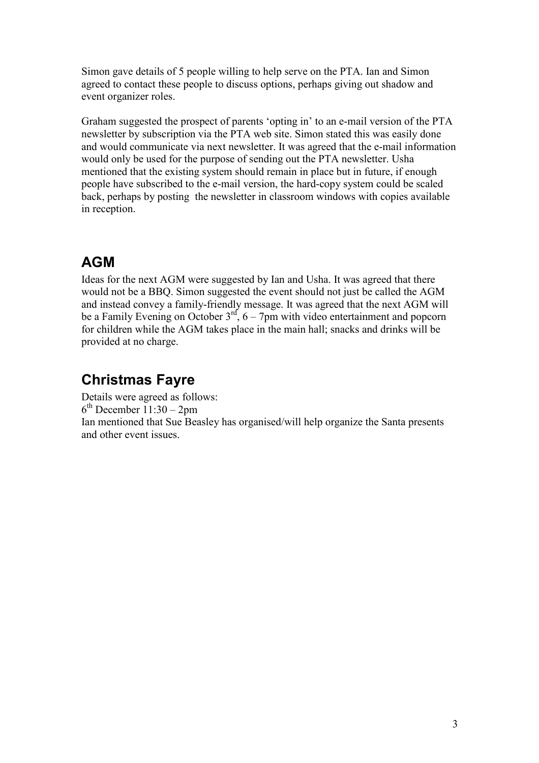Simon gave details of 5 people willing to help serve on the PTA. Ian and Simon agreed to contact these people to discuss options, perhaps giving out shadow and event organizer roles.

Graham suggested the prospect of parents 'opting in' to an e-mail version of the PTA newsletter by subscription via the PTA web site. Simon stated this was easily done and would communicate via next newsletter. It was agreed that the e-mail information would only be used for the purpose of sending out the PTA newsletter. Usha mentioned that the existing system should remain in place but in future, if enough people have subscribed to the e-mail version, the hard-copy system could be scaled back, perhaps by posting the newsletter in classroom windows with copies available in reception.

# AGM

Ideas for the next AGM were suggested by Ian and Usha. It was agreed that there would not be a BBQ. Simon suggested the event should not just be called the AGM and instead convey a family-friendly message. It was agreed that the next AGM will be a Family Evening on October  $3<sup>rd</sup>$ ,  $6 - 7$ pm with video entertainment and popcorn for children while the AGM takes place in the main hall; snacks and drinks will be provided at no charge.

## Christmas Fayre

Details were agreed as follows: 6 th December 11:30 – 2pm Ian mentioned that Sue Beasley has organised/will help organize the Santa presents and other event issues.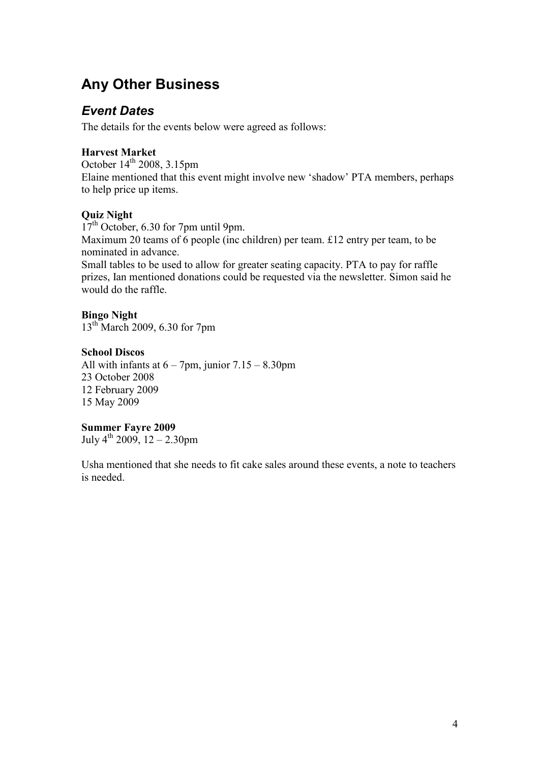## Any Other Business

#### Event Dates

The details for the events below were agreed as follows:

#### Harvest Market

October  $14<sup>th</sup>$  2008, 3.15pm Elaine mentioned that this event might involve new 'shadow' PTA members, perhaps to help price up items.

#### Quiz Night

17<sup>th</sup> October, 6.30 for 7pm until 9pm. Maximum 20 teams of 6 people (inc children) per team. £12 entry per team, to be nominated in advance. Small tables to be used to allow for greater seating capacity. PTA to pay for raffle prizes, Ian mentioned donations could be requested via the newsletter. Simon said he would do the raffle.

#### Bingo Night

13th March 2009, 6.30 for 7pm

#### School Discos

All with infants at  $6 - 7$ pm, junior  $7.15 - 8.30$ pm 23 October 2008 12 February 2009 15 May 2009

#### Summer Fayre 2009

July  $4^{th}$  2009, 12 – 2.30pm

Usha mentioned that she needs to fit cake sales around these events, a note to teachers is needed.